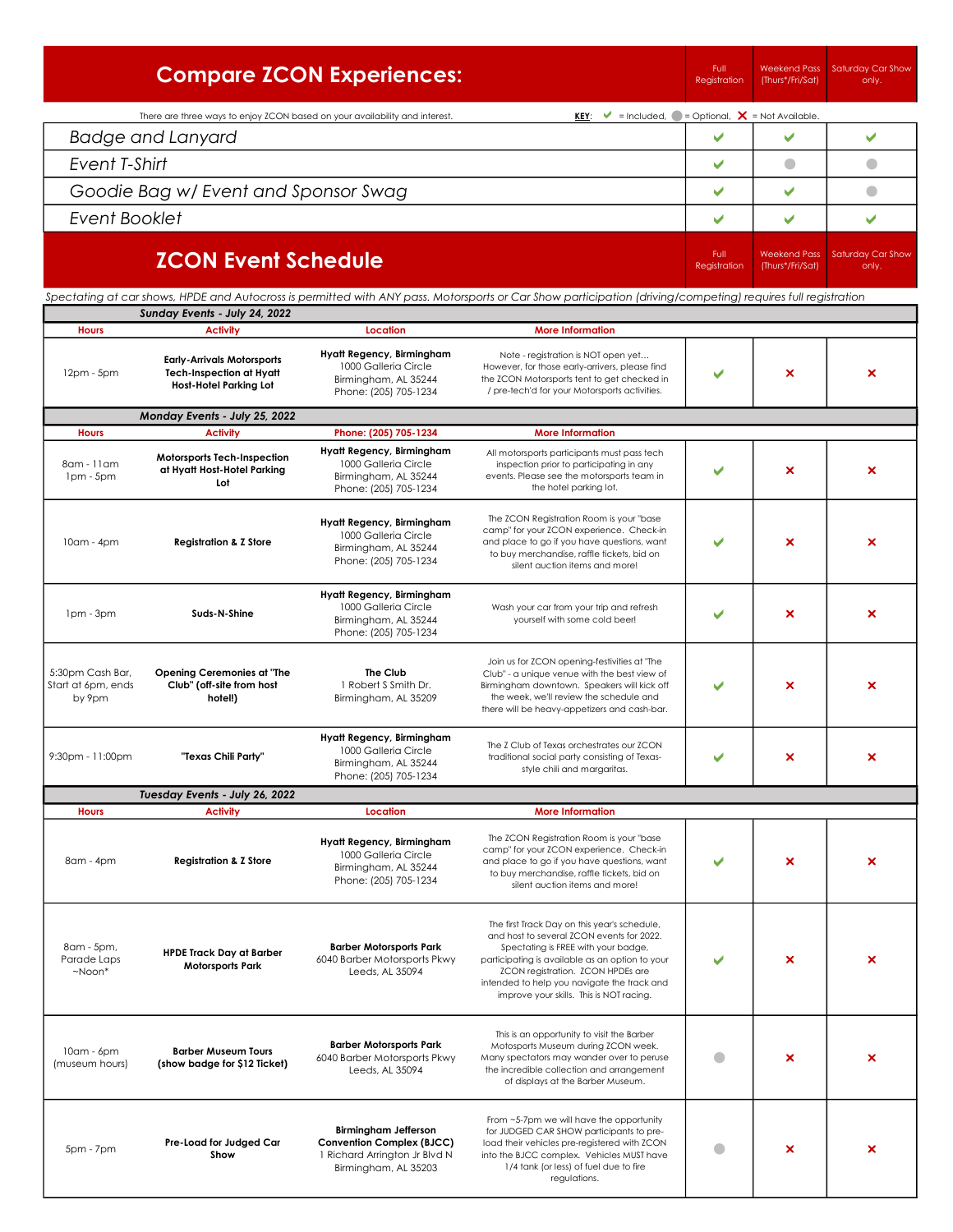|                                                  |                                                                                                                                                                                            | <b>Compare ZCON Experiences:</b>                                                                                  |                                                                                                                                                                                                                                                                                                                     | Full<br>Registration | <b>Weekend Pass</b><br>(Thurs*/Fri/Sat) | Saturday Car Show<br>only. |
|--------------------------------------------------|--------------------------------------------------------------------------------------------------------------------------------------------------------------------------------------------|-------------------------------------------------------------------------------------------------------------------|---------------------------------------------------------------------------------------------------------------------------------------------------------------------------------------------------------------------------------------------------------------------------------------------------------------------|----------------------|-----------------------------------------|----------------------------|
|                                                  | There are three ways to enjoy ZCON based on your availability and interest.                                                                                                                |                                                                                                                   | <b>KEY:</b> $\mathsf{V} = \mathsf{Included}, \mathsf{C} = \mathsf{Optional}, \mathsf{X} = \mathsf{Not Available}.$                                                                                                                                                                                                  |                      |                                         |                            |
|                                                  | <b>Badge and Lanyard</b>                                                                                                                                                                   |                                                                                                                   |                                                                                                                                                                                                                                                                                                                     | ✔                    | V                                       | ✔                          |
| Event T-Shirt                                    |                                                                                                                                                                                            |                                                                                                                   |                                                                                                                                                                                                                                                                                                                     | ✔                    | $\bullet$                               | $\bullet$                  |
|                                                  | Goodie Bag w/ Event and Sponsor Swag                                                                                                                                                       |                                                                                                                   |                                                                                                                                                                                                                                                                                                                     | ✔                    | ✔                                       | $\bullet$                  |
| Event Booklet                                    |                                                                                                                                                                                            |                                                                                                                   |                                                                                                                                                                                                                                                                                                                     | ✔                    | ✔                                       | ✔                          |
|                                                  | <b>ZCON Event Schedule</b><br>Spectating at car shows, HPDE and Autocross is permitted with ANY pass. Motorsports or Car Show participation (driving/competing) requires full registration |                                                                                                                   |                                                                                                                                                                                                                                                                                                                     |                      | <b>Weekend Pass</b><br>(Thurs*/Fri/Sat) | Saturday Car Show<br>only. |
|                                                  | Sunday Events - July 24, 2022                                                                                                                                                              |                                                                                                                   |                                                                                                                                                                                                                                                                                                                     |                      |                                         |                            |
| <b>Hours</b>                                     | <b>Activity</b>                                                                                                                                                                            | Location                                                                                                          | <b>More Information</b>                                                                                                                                                                                                                                                                                             |                      |                                         |                            |
| $12pm - 5pm$                                     | <b>Early-Arrivals Motorsports</b><br><b>Tech-Inspection at Hyatt</b><br><b>Host-Hotel Parking Lot</b>                                                                                      | Hyatt Regency, Birmingham<br>1000 Galleria Circle<br>Birmingham, AL 35244<br>Phone: (205) 705-1234                | Note - registration is NOT open yet<br>However, for those early-arrivers, please find<br>the ZCON Motorsports tent to get checked in<br>/ pre-tech'd for your Motorsports activities.                                                                                                                               |                      | ×                                       | ×                          |
|                                                  | Monday Events - July 25, 2022                                                                                                                                                              |                                                                                                                   |                                                                                                                                                                                                                                                                                                                     |                      |                                         |                            |
| <b>Hours</b>                                     | <b>Activity</b>                                                                                                                                                                            | Phone: (205) 705-1234<br>Hyatt Regency, Birmingham                                                                | <b>More Information</b>                                                                                                                                                                                                                                                                                             |                      |                                         |                            |
| 8am - 11am<br>1pm - 5pm                          | Motorsports Tech-Inspection<br>at Hyatt Host-Hotel Parking<br>Lot                                                                                                                          | 1000 Galleria Circle<br>Birmingham, AL 35244<br>Phone: (205) 705-1234                                             | All motorsports participants must pass tech<br>inspection prior to participating in any<br>events. Please see the motorsports team in<br>the hotel parking lot.                                                                                                                                                     |                      | ×                                       | ×                          |
| 10am - 4pm                                       | <b>Registration &amp; Z Store</b>                                                                                                                                                          | Hyatt Regency, Birmingham<br>1000 Galleria Circle<br>Birmingham, AL 35244<br>Phone: (205) 705-1234                | The ZCON Registration Room is your "base<br>camp" for your ZCON experience. Check-in<br>and place to go if you have questions, want<br>to buy merchandise, raffle tickets, bid on<br>silent auction items and more!                                                                                                 |                      | ×                                       | ×                          |
| Ipm - 3pm                                        | Suds-N-Shine                                                                                                                                                                               | Hyatt Regency, Birmingham<br>1000 Galleria Circle<br>Birmingham, AL 35244<br>Phone: (205) 705-1234                | Wash your car from your trip and refresh<br>yourself with some cold beer!                                                                                                                                                                                                                                           |                      | ×                                       | ×                          |
| 5:30pm Cash Bar,<br>Start at 6pm, ends<br>by 9pm | <b>Opening Ceremonies at "The</b><br>Club" (off-site from host<br>hotel!)                                                                                                                  | The Club<br>1 Robert S Smith Dr.<br>Birmingham, AL 35209                                                          | Join us for ZCON opening-festivities at "The<br>Club" - a unique venue with the best view of<br>Birmingham downtown. Speakers will kick off<br>the week, we'll review the schedule and<br>there will be heavy-appetizers and cash-bar.                                                                              |                      | ×                                       | ×                          |
| 9:30pm - 11:00pm                                 | "Texas Chili Party"                                                                                                                                                                        | Hyatt Regency, Birmingham<br>1000 Galleria Circle<br>Birmingham, AL 35244<br>Phone: (205) 705-1234                | The Z Club of Texas orchestrates our ZCON<br>traditional social party consisting of Texas-<br>style chili and margaritas.                                                                                                                                                                                           |                      | ×                                       | ×                          |
| <b>Hours</b>                                     | Tuesday Events - July 26, 2022<br><b>Activity</b>                                                                                                                                          | Location                                                                                                          | <b>More Information</b>                                                                                                                                                                                                                                                                                             |                      |                                         |                            |
| 8am - 4pm                                        | <b>Registration &amp; Z Store</b>                                                                                                                                                          | Hyatt Regency, Birmingham<br>1000 Galleria Circle<br>Birmingham, AL 35244<br>Phone: (205) 705-1234                | The ZCON Registration Room is your "base<br>camp" for your ZCON experience. Check-in<br>and place to go if you have questions, want<br>to buy merchandise, raffle tickets, bid on<br>silent auction items and more!                                                                                                 |                      | ×                                       | ×                          |
| 8am - 5pm,<br>Parade Laps<br>$~\sim$ Noon $*$    | <b>HPDE Track Day at Barber</b><br><b>Motorsports Park</b>                                                                                                                                 | <b>Barber Motorsports Park</b><br>6040 Barber Motorsports Pkwy<br>Leeds, AL 35094                                 | The first Track Day on this year's schedule,<br>and host to several ZCON events for 2022.<br>Spectating is FREE with your badge,<br>participating is available as an option to your<br>ZCON registration. ZCON HPDEs are<br>intended to help you navigate the track and<br>improve your skills. This is NOT racing. |                      | ×                                       | ×                          |
| $10am - 6pm$<br>(museum hours)                   | <b>Barber Museum Tours</b><br>(show badge for \$12 Ticket)                                                                                                                                 | <b>Barber Motorsports Park</b><br>6040 Barber Motorsports Pkwy<br>Leeds, AL 35094                                 | This is an opportunity to visit the Barber<br>Motosports Museum during ZCON week.<br>Many spectators may wander over to peruse<br>the incredible collection and arrangement<br>of displays at the Barber Museum.                                                                                                    |                      | ×                                       | ×                          |
| 5pm - 7pm                                        | Pre-Load for Judged Car<br>Show                                                                                                                                                            | Birmingham Jefferson<br><b>Convention Complex (BJCC)</b><br>1 Richard Arrington Jr Blvd N<br>Birmingham, AL 35203 | From ~5-7pm we will have the opportunity<br>for JUDGED CAR SHOW participants to pre-<br>load their vehicles pre-registered with ZCON<br>into the BJCC complex. Vehicles MUST have<br>1/4 tank (or less) of fuel due to fire<br>regulations.                                                                         | o                    | ×                                       | ×                          |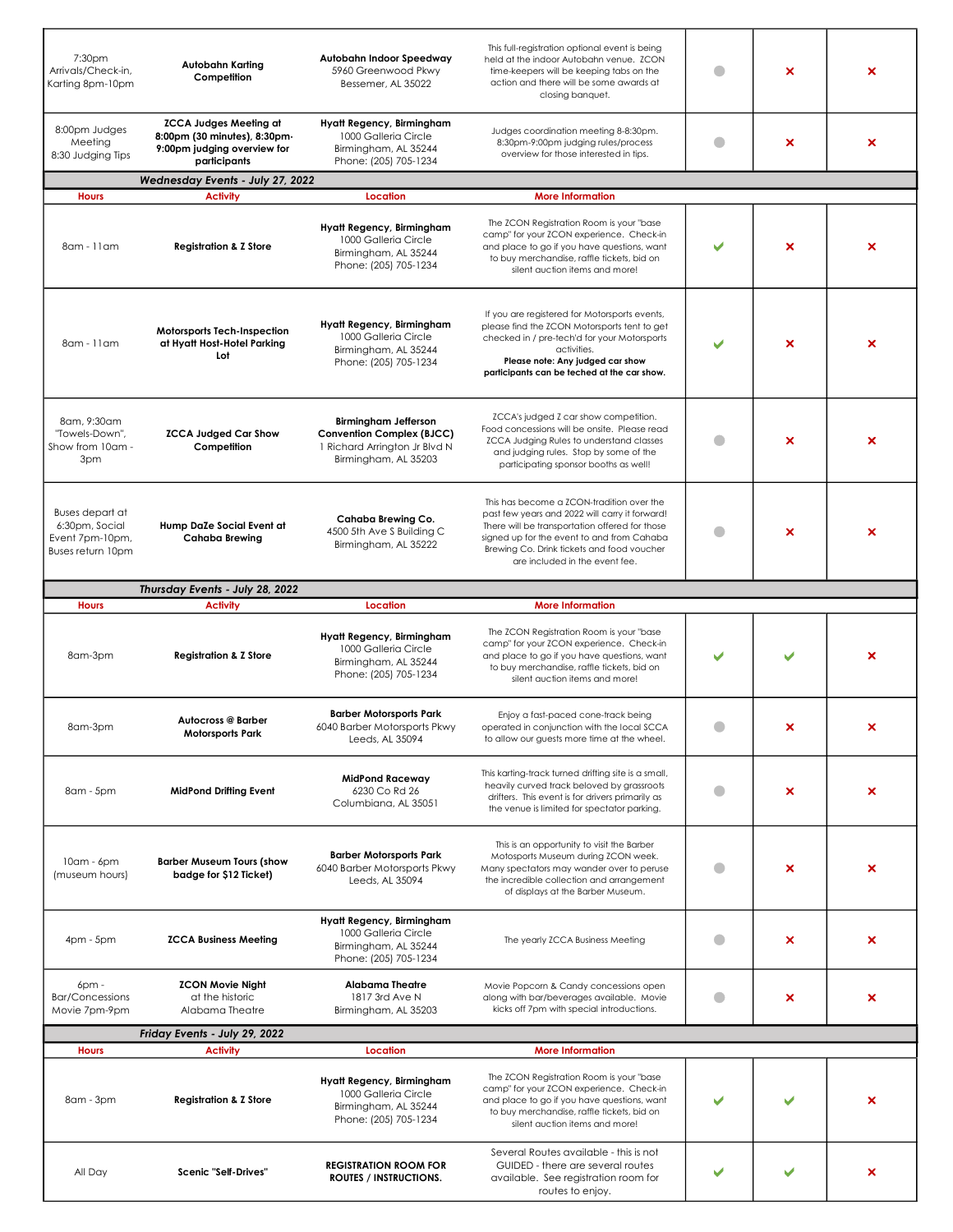| 7:30pm<br>Arrivals/Check-in,<br>Karting 8pm-10pm                                 | Autobahn Karting<br>Competition                                                                              | Autobahn Indoor Speedway<br>5960 Greenwood Pkwy<br>Bessemer, AL 35022                                                    | This full-registration optional event is being<br>held at the indoor Autobahn venue. ZCON<br>time-keepers will be keeping tabs on the<br>action and there will be some awards at<br>closing banquet.                                                                        |   | × | × |
|----------------------------------------------------------------------------------|--------------------------------------------------------------------------------------------------------------|--------------------------------------------------------------------------------------------------------------------------|-----------------------------------------------------------------------------------------------------------------------------------------------------------------------------------------------------------------------------------------------------------------------------|---|---|---|
| 8:00pm Judges<br>Meeting<br>8:30 Judging Tips                                    | <b>ZCCA Judges Meeting at</b><br>8:00pm (30 minutes), 8:30pm-<br>9:00pm judging overview for<br>participants | Hyatt Regency, Birmingham<br>1000 Galleria Circle<br>Birmingham, AL 35244<br>Phone: (205) 705-1234                       | Judges coordination meeting 8-8:30pm.<br>8:30pm-9:00pm judging rules/process<br>overview for those interested in tips.                                                                                                                                                      | a | × | × |
|                                                                                  | Wednesday Events - July 27, 2022<br><b>Activity</b>                                                          |                                                                                                                          | <b>More Information</b>                                                                                                                                                                                                                                                     |   |   |   |
| <b>Hours</b>                                                                     |                                                                                                              | Location                                                                                                                 |                                                                                                                                                                                                                                                                             |   |   |   |
| 8am - 11am                                                                       | <b>Registration &amp; Z Store</b>                                                                            | Hyatt Regency, Birmingham<br>1000 Galleria Circle<br>Birmingham, AL 35244<br>Phone: (205) 705-1234                       | The ZCON Registration Room is your "base<br>camp" for your ZCON experience. Check-in<br>and place to go if you have questions, want<br>to buy merchandise, raffle tickets, bid on<br>silent auction items and more!                                                         |   | x | × |
| 8am - 11am                                                                       | Motorsports Tech-Inspection<br>at Hyatt Host-Hotel Parking<br>Lot                                            | Hyatt Regency, Birmingham<br>1000 Galleria Circle<br>Birmingham, AL 35244<br>Phone: (205) 705-1234                       | If you are registered for Motorsports events,<br>please find the ZCON Motorsports tent to get<br>checked in / pre-tech'd for your Motorsports<br>activities.<br>Please note: Any judged car show<br>participants can be teched at the car show.                             |   | × | × |
| 8am, 9:30am<br>"Towels-Down",<br>Show from 10am -<br>3pm                         | <b>ZCCA Judged Car Show</b><br>Competition                                                                   | <b>Birmingham Jefferson</b><br><b>Convention Complex (BJCC)</b><br>1 Richard Arrington Jr Blvd N<br>Birmingham, AL 35203 | ZCCA's judged Z car show competition.<br>Food concessions will be onsite. Please read<br>ZCCA Judging Rules to understand classes<br>and judging rules. Stop by some of the<br>participating sponsor booths as well!                                                        | a | × | × |
| <b>Buses depart at</b><br>6:30pm, Social<br>Event 7pm-10pm,<br>Buses return 10pm | Hump DaZe Social Event at<br><b>Cahaba Brewing</b>                                                           | Cahaba Brewing Co.<br>4500 5th Ave S Building C<br>Birmingham, AL 35222                                                  | This has become a ZCON-tradition over the<br>past few years and 2022 will carry it forward!<br>There will be transportation offered for those<br>signed up for the event to and from Cahaba<br>Brewing Co. Drink tickets and food voucher<br>are included in the event fee. | O | × | × |
|                                                                                  | Thursday Events - July 28, 2022                                                                              |                                                                                                                          |                                                                                                                                                                                                                                                                             |   |   |   |
| <b>Hours</b>                                                                     | <b>Activity</b>                                                                                              | Location                                                                                                                 | <b>More Information</b>                                                                                                                                                                                                                                                     |   |   |   |
| 8am-3pm                                                                          | <b>Registration &amp; Z Store</b>                                                                            | Hyatt Regency, Birmingham<br>1000 Galleria Circle<br>Birmingham, AL 35244<br>Phone: (205) 705-1234                       | The ZCON Registration Room is your "base<br>camp" for your ZCON experience. Check-in<br>and place to go if you have questions, want<br>to buy merchandise, raffle tickets, bid on<br>silent auction items and more!                                                         |   |   | × |
| 8am-3pm                                                                          | <b>Autocross @ Barber</b><br><b>Motorsports Park</b>                                                         | <b>Barber Motorsports Park</b><br>6040 Barber Motorsports Pkwy<br>Leeds, AL 35094                                        | Enjoy a fast-paced cone-track being<br>operated in conjunction with the local SCCA<br>to allow our guests more time at the wheel.                                                                                                                                           |   |   | x |
| 8am - 5pm                                                                        | <b>MidPond Drifting Event</b>                                                                                | <b>MidPond Raceway</b><br>6230 Co Rd 26<br>Columbiana, AL 35051                                                          | This karting-track turned drifting site is a small,<br>heavily curved track beloved by grassroots<br>drifters. This event is for drivers primarily as<br>the venue is limited for spectator parking.                                                                        | a | × | × |
| $10am - 6pm$<br>(museum hours)                                                   | <b>Barber Museum Tours (show</b><br>badge for \$12 Ticket)                                                   | <b>Barber Motorsports Park</b><br>6040 Barber Motorsports Pkwy<br>Leeds, AL 35094                                        | This is an opportunity to visit the Barber<br>Motosports Museum during ZCON week.<br>Many spectators may wander over to peruse<br>the incredible collection and arrangement<br>of displays at the Barber Museum.                                                            | a | × | × |
| $4pm - 5pm$                                                                      | <b>ZCCA Business Meeting</b>                                                                                 | Hyatt Regency, Birmingham<br>1000 Galleria Circle<br>Birmingham, AL 35244<br>Phone: (205) 705-1234                       | The yearly ZCCA Business Meeting                                                                                                                                                                                                                                            | a | × | × |
| $6$ pm -<br><b>Bar/Concessions</b><br>Movie 7pm-9pm                              | <b>ZCON Movie Night</b><br>at the historic<br>Alabama Theatre                                                | <b>Alabama Theatre</b><br>1817 3rd Ave N<br>Birmingham, AL 35203                                                         | Movie Popcorn & Candy concessions open<br>along with bar/beverages available. Movie<br>kicks off 7pm with special introductions.                                                                                                                                            | a | × | × |
|                                                                                  | Friday Events - July 29, 2022                                                                                |                                                                                                                          |                                                                                                                                                                                                                                                                             |   |   |   |
| <b>Hours</b>                                                                     | <b>Activity</b>                                                                                              | Location                                                                                                                 | <b>More Information</b>                                                                                                                                                                                                                                                     |   |   |   |
| 8am - 3pm                                                                        | <b>Registration &amp; Z Store</b>                                                                            | Hyatt Regency, Birmingham<br>1000 Galleria Circle<br>Birmingham, AL 35244<br>Phone: (205) 705-1234                       | The ZCON Registration Room is your "base<br>camp" for your ZCON experience. Check-in<br>and place to go if you have questions, want<br>to buy merchandise, raffle tickets, bid on<br>silent auction items and more!                                                         |   |   | × |
| All Day                                                                          | Scenic "Self-Drives"                                                                                         | <b>REGISTRATION ROOM FOR</b><br><b>ROUTES / INSTRUCTIONS.</b>                                                            | Several Routes available - this is not<br>GUIDED - there are several routes<br>available. See registration room for<br>routes to enjoy.                                                                                                                                     |   |   | × |